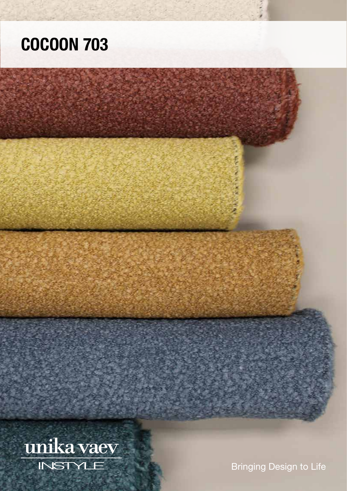## COCOON 703

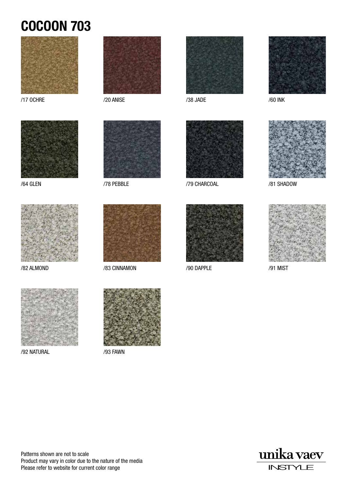## COCOON 703





/64 GLEN



/82 ALMOND





/78 PEBBLE



/83 CINNAMON



/38 JADE



/79 CHARCOAL



/90 DAPPLE



/60 INK



/81 SHADOW



/91 MIST



/92 NATURAL



/93 FAWN